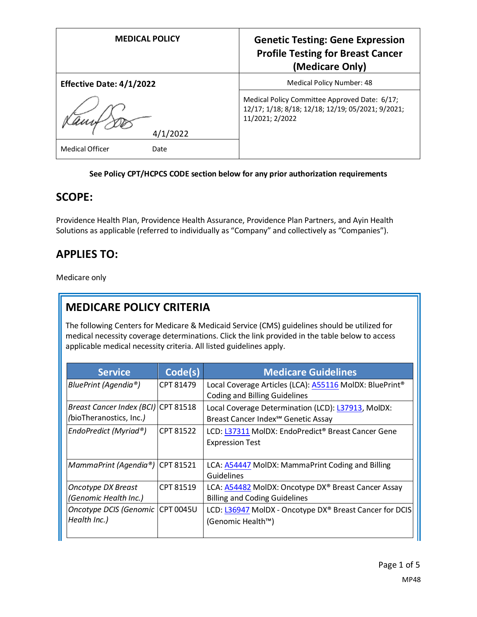| <b>MEDICAL POLICY</b>           | <b>Genetic Testing: Gene Expression</b><br><b>Profile Testing for Breast Cancer</b><br>(Medicare Only)                |
|---------------------------------|-----------------------------------------------------------------------------------------------------------------------|
| <b>Effective Date: 4/1/2022</b> | Medical Policy Number: 48                                                                                             |
| 4/1/2022                        | Medical Policy Committee Approved Date: 6/17;<br>12/17; 1/18; 8/18; 12/18; 12/19; 05/2021; 9/2021;<br>11/2021; 2/2022 |
| <b>Medical Officer</b><br>Date  |                                                                                                                       |

#### **See Policy CPT/HCPCS CODE section below for any prior authorization requirements**

### **SCOPE:**

Providence Health Plan, Providence Health Assurance, Providence Plan Partners, and Ayin Health Solutions as applicable (referred to individually as "Company" and collectively as "Companies").

# **APPLIES TO:**

Medicare only

# **MEDICARE POLICY CRITERIA**

The following Centers for Medicare & Medicaid Service (CMS) guidelines should be utilized for medical necessity coverage determinations. Click the link provided in the table below to access applicable medical necessity criteria. All listed guidelines apply.

| <b>Service</b>                      | Code(s)   | <b>Medicare Guidelines</b>                                          |
|-------------------------------------|-----------|---------------------------------------------------------------------|
| BluePrint (Agendia®)                | CPT 81479 | Local Coverage Articles (LCA): A55116 MolDX: BluePrint <sup>®</sup> |
|                                     |           | <b>Coding and Billing Guidelines</b>                                |
| Breast Cancer Index (BCI) CPT 81518 |           | Local Coverage Determination (LCD): L37913, MolDX:                  |
| (bioTheranostics, Inc.)             |           | Breast Cancer Index <sup>5M</sup> Genetic Assay                     |
| EndoPredict (Myriad®)               | CPT 81522 | LCD: L37311 MolDX: EndoPredict® Breast Cancer Gene                  |
|                                     |           | <b>Expression Test</b>                                              |
|                                     |           |                                                                     |
| MammaPrint (Agendia®) CPT 81521     |           | LCA: A54447 MolDX: MammaPrint Coding and Billing                    |
|                                     |           | Guidelines                                                          |
| <b>Oncotype DX Breast</b>           | CPT 81519 | LCA: A54482 MolDX: Oncotype DX® Breast Cancer Assay                 |
| (Genomic Health Inc.)               |           | <b>Billing and Coding Guidelines</b>                                |
| Oncotype DCIS (Genomic CPT 0045U    |           | LCD: L36947 MolDX - Oncotype DX <sup>®</sup> Breast Cancer for DCIS |
| Health Inc.)                        |           | (Genomic Health™)                                                   |
|                                     |           |                                                                     |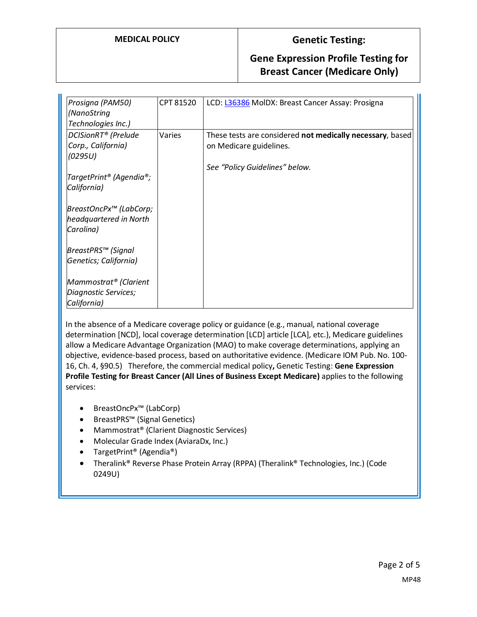#### **MEDICAL POLICY Genetic Testing:**

#### **Gene Expression Profile Testing for Breast Cancer (Medicare Only)**

| Prosigna (PAM50)<br>(NanoString<br>Technologies Inc.)            | CPT 81520 | LCD: L36386 MolDX: Breast Cancer Assay: Prosigna                                     |
|------------------------------------------------------------------|-----------|--------------------------------------------------------------------------------------|
| DCISionRT <sup>®</sup> (Prelude<br>Corp., California)<br>(0295U) | Varies    | These tests are considered not medically necessary, based<br>on Medicare guidelines. |
| TargetPrint® (Agendia®;<br>California)                           |           | See "Policy Guidelines" below.                                                       |
| BreastOncPx™ (LabCorp;<br>headquartered in North<br>Carolina)    |           |                                                                                      |
| BreastPRS™ (Signal<br>Genetics; California)                      |           |                                                                                      |
| Mammostrat® (Clarient<br>Diagnostic Services;<br>California)     |           |                                                                                      |

In the absence of a Medicare coverage policy or guidance (e.g., manual, national coverage determination [NCD], local coverage determination [LCD] article [LCA], etc.), Medicare guidelines allow a Medicare Advantage Organization (MAO) to make coverage determinations, applying an objective, evidence-based process, based on authoritative evidence. (Medicare IOM Pub. No. 100- 16, Ch. 4, §90.5) Therefore, the commercial medical policy**,** Genetic Testing: **Gene Expression Profile Testing for Breast Cancer (All Lines of Business Except Medicare)** applies to the following services:

- BreastOncPx™ (LabCorp)
- BreastPRS™ (Signal Genetics)
- Mammostrat® (Clarient Diagnostic Services)
- Molecular Grade Index (AviaraDx, Inc.)
- TargetPrint® (Agendia®)
- Theralink® Reverse Phase Protein Array (RPPA) (Theralink® Technologies, Inc.) (Code 0249U)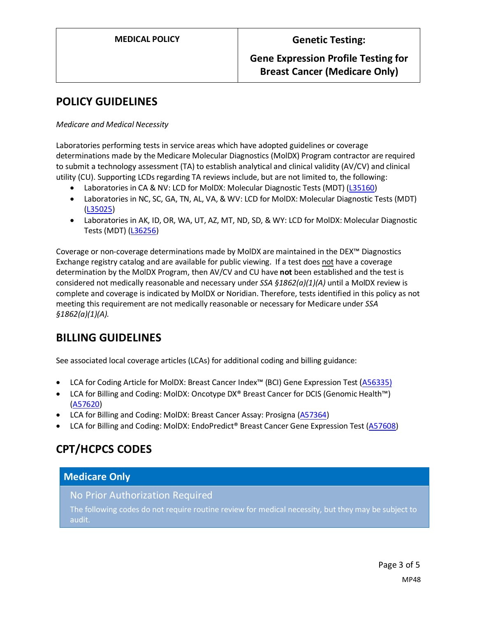### **Gene Expression Profile Testing for Breast Cancer (Medicare Only)**

## **POLICY GUIDELINES**

*Medicare and Medical Necessity*

Laboratories performing tests in service areas which have adopted guidelines or coverage determinations made by the Medicare Molecular Diagnostics (MolDX) Program contractor are required to submit a technology assessment (TA) to establish analytical and clinical validity (AV/CV) and clinical utility (CU). Supporting LCDs regarding TA reviews include, but are not limited to, the following:

- Laboratories in CA & NV: LCD for MolDX: Molecular Diagnostic Tests (MDT) [\(L35160\)](https://www.cms.gov/medicare-coverage-database/view/lcd.aspx?lcdid=35160)
- Laboratories in NC, SC, GA, TN, AL, VA, & WV: LCD for MolDX: Molecular Diagnostic Tests (MDT) [\(L35025\)](https://www.cms.gov/medicare-coverage-database/view/lcd.aspx?lcdid=35025)
- Laboratories in AK, ID, OR, WA, UT, AZ, MT, ND, SD, & WY: LCD for MolDX: Molecular Diagnostic Tests (MDT) [\(L36256\)](https://www.cms.gov/medicare-coverage-database/view/lcd.aspx?lcdid=36256)

Coverage or non-coverage determinations made by MolDX are maintained in the DEX™ Diagnostics Exchange registry catalog and are available for public viewing. If a test does not have a coverage determination by the MolDX Program, then AV/CV and CU have **not** been established and the test is considered not medically reasonable and necessary under *SSA §1862(a)(1)(A)* until a MolDX review is complete and coverage is indicated by MolDX or Noridian. Therefore, tests identified in this policy as not meeting this requirement are not medically reasonable or necessary for Medicare under *SSA §1862(a)(1)(A).*

# **BILLING GUIDELINES**

See associated local coverage articles (LCAs) for additional coding and billing guidance:

- LCA for Coding Article for MolDX: Breast Cancer Index™ (BCI) Gene Expression Test [\(A56335\)](https://www.cms.gov/medicare-coverage-database/details/article-details.aspx?articleId=56335)
- LCA for Billing and Coding: MolDX: Oncotype DX® Breast Cancer for DCIS (Genomic Health™) [\(A57620\)](https://www.cms.gov/medicare-coverage-database/details/article-details.aspx?articleId=57620)
- LCA for Billing and Coding: MolDX: Breast Cancer Assay: Prosigna [\(A57364\)](https://www.cms.gov/medicare-coverage-database/details/article-details.aspx?articleId=57364)
- LCA for Billing and Coding: MolDX: EndoPredict® Breast Cancer Gene Expression Test [\(A57608\)](https://www.cms.gov/medicare-coverage-database/details/article-details.aspx?articleId=57608)

## **CPT/HCPCS CODES**

### **Medicare Only**

No Prior Authorization Required

The following codes do not require routine review for medical necessity, but they may be subject to audit.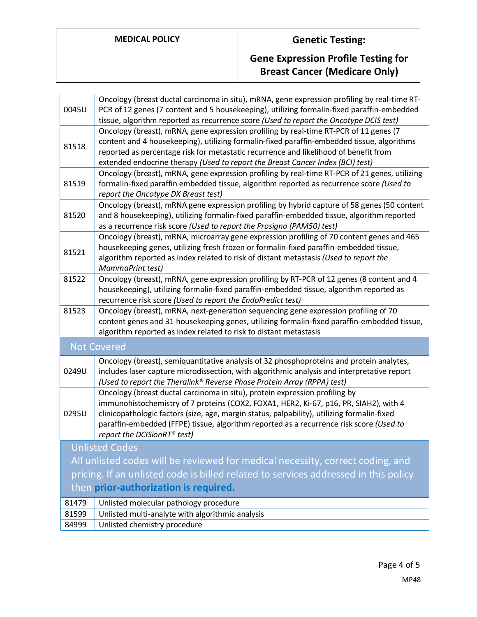# **MEDICAL POLICY Genetic Testing:**

# **Gene Expression Profile Testing for Breast Cancer (Medicare Only)**

| 0045U | Oncology (breast ductal carcinoma in situ), mRNA, gene expression profiling by real-time RT-<br>PCR of 12 genes (7 content and 5 housekeeping), utilizing formalin-fixed paraffin-embedded<br>tissue, algorithm reported as recurrence score (Used to report the Oncotype DCIS test)                                                                                                                      |
|-------|-----------------------------------------------------------------------------------------------------------------------------------------------------------------------------------------------------------------------------------------------------------------------------------------------------------------------------------------------------------------------------------------------------------|
| 81518 | Oncology (breast), mRNA, gene expression profiling by real-time RT-PCR of 11 genes (7<br>content and 4 housekeeping), utilizing formalin-fixed paraffin-embedded tissue, algorithms<br>reported as percentage risk for metastatic recurrence and likelihood of benefit from<br>extended endocrine therapy (Used to report the Breast Cancer Index (BCI) test)                                             |
| 81519 | Oncology (breast), mRNA, gene expression profiling by real-time RT-PCR of 21 genes, utilizing<br>formalin-fixed paraffin embedded tissue, algorithm reported as recurrence score (Used to<br>report the Oncotype DX Breast test)                                                                                                                                                                          |
| 81520 | Oncology (breast), mRNA gene expression profiling by hybrid capture of 58 genes (50 content<br>and 8 housekeeping), utilizing formalin-fixed paraffin-embedded tissue, algorithm reported<br>as a recurrence risk score (Used to report the Prosigna (PAM50) test)                                                                                                                                        |
| 81521 | Oncology (breast), mRNA, microarray gene expression profiling of 70 content genes and 465<br>housekeeping genes, utilizing fresh frozen or formalin-fixed paraffin-embedded tissue,<br>algorithm reported as index related to risk of distant metastasis (Used to report the<br>MammaPrint test)                                                                                                          |
| 81522 | Oncology (breast), mRNA, gene expression profiling by RT-PCR of 12 genes (8 content and 4<br>housekeeping), utilizing formalin-fixed paraffin-embedded tissue, algorithm reported as<br>recurrence risk score (Used to report the EndoPredict test)                                                                                                                                                       |
| 81523 | Oncology (breast), mRNA, next-generation sequencing gene expression profiling of 70<br>content genes and 31 housekeeping genes, utilizing formalin-fixed paraffin-embedded tissue,<br>algorithm reported as index related to risk to distant metastasis                                                                                                                                                   |
|       | <b>Not Covered</b>                                                                                                                                                                                                                                                                                                                                                                                        |
| 0249U | Oncology (breast), semiquantitative analysis of 32 phosphoproteins and protein analytes,<br>includes laser capture microdissection, with algorithmic analysis and interpretative report<br>(Used to report the Theralink® Reverse Phase Protein Array (RPPA) test)                                                                                                                                        |
| 0295U | Oncology (breast ductal carcinoma in situ), protein expression profiling by<br>immunohistochemistry of 7 proteins (COX2, FOXA1, HER2, Ki-67, p16, PR, SIAH2), with 4<br>clinicopathologic factors (size, age, margin status, palpability), utilizing formalin-fixed<br>paraffin-embedded (FFPE) tissue, algorithm reported as a recurrence risk score (Used to<br>report the DCISionRT <sup>®</sup> test) |
|       | <b>Unlisted Codes</b>                                                                                                                                                                                                                                                                                                                                                                                     |
|       | All unlisted codes will be reviewed for medical necessity, correct coding, and                                                                                                                                                                                                                                                                                                                            |
|       | pricing. If an unlisted code is billed related to services addressed in this policy                                                                                                                                                                                                                                                                                                                       |
|       | then prior-authorization is required.                                                                                                                                                                                                                                                                                                                                                                     |
| 81479 | Unlisted molecular pathology procedure                                                                                                                                                                                                                                                                                                                                                                    |
| 81599 | Unlisted multi-analyte with algorithmic analysis                                                                                                                                                                                                                                                                                                                                                          |
| 84999 | Unlisted chemistry procedure                                                                                                                                                                                                                                                                                                                                                                              |